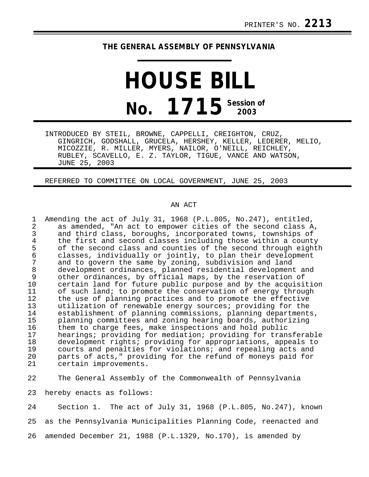## **THE GENERAL ASSEMBLY OF PENNSYLVANIA**

## **HOUSE BILL No. 1715 Session of 2003**

INTRODUCED BY STEIL, BROWNE, CAPPELLI, CREIGHTON, CRUZ, GINGRICH, GODSHALL, GRUCELA, HERSHEY, KELLER, LEDERER, MELIO, MICOZZIE, R. MILLER, MYERS, NAILOR, O'NEILL, REICHLEY, RUBLEY, SCAVELLO, E. Z. TAYLOR, TIGUE, VANCE AND WATSON, JUNE 25, 2003

REFERRED TO COMMITTEE ON LOCAL GOVERNMENT, JUNE 25, 2003

## AN ACT

23 hereby enacts as follows:

24 Section 1. The act of July 31, 1968 (P.L.805, No.247), known 25 as the Pennsylvania Municipalities Planning Code, reenacted and 26 amended December 21, 1988 (P.L.1329, No.170), is amended by